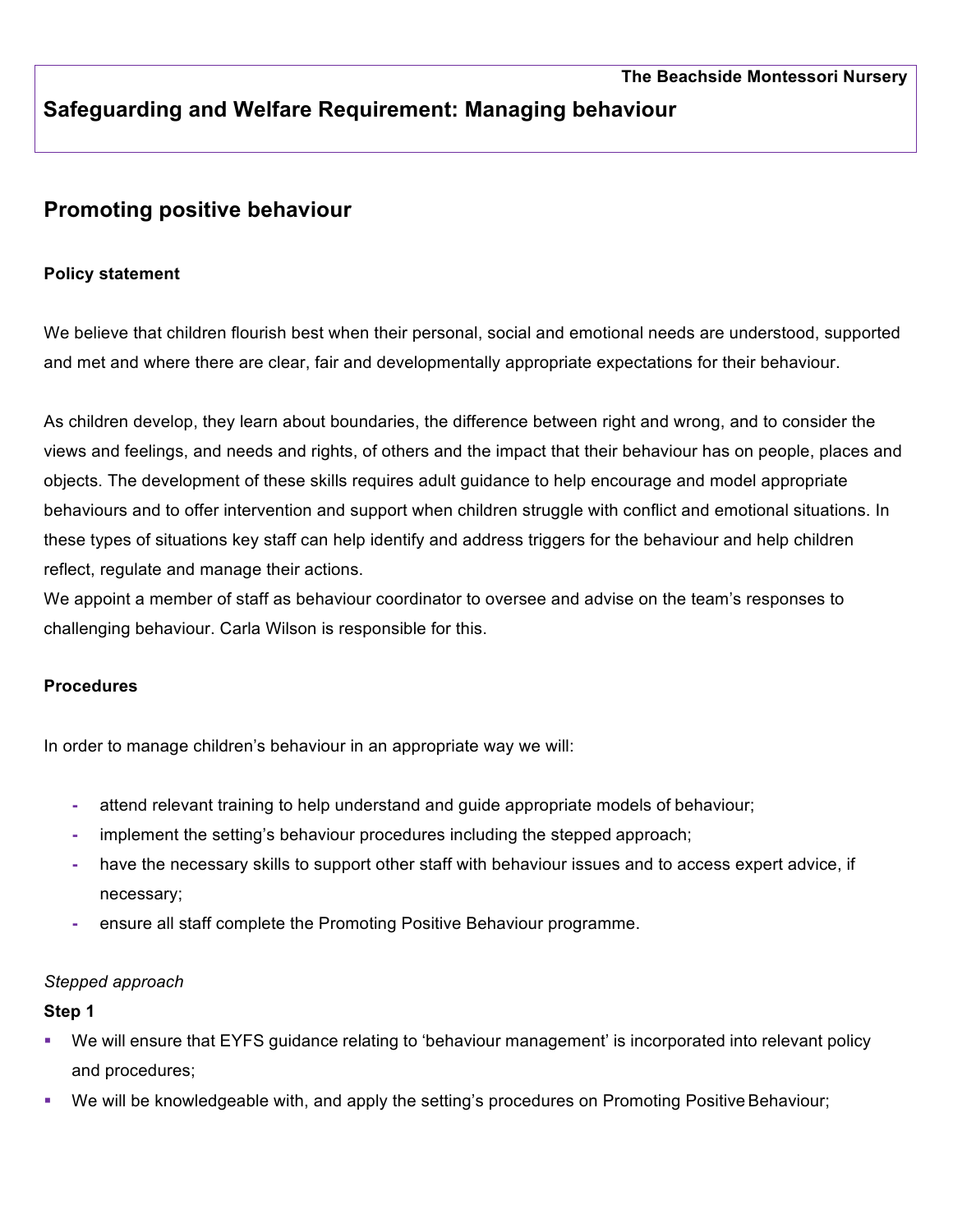# **Safeguarding and Welfare Requirement: Managing behaviour**

# **Promoting positive behaviour**

## **Policy statement**

We believe that children flourish best when their personal, social and emotional needs are understood, supported and met and where there are clear, fair and developmentally appropriate expectations for their behaviour.

As children develop, they learn about boundaries, the difference between right and wrong, and to consider the views and feelings, and needs and rights, of others and the impact that their behaviour has on people, places and objects. The development of these skills requires adult guidance to help encourage and model appropriate behaviours and to offer intervention and support when children struggle with conflict and emotional situations. In these types of situations key staff can help identify and address triggers for the behaviour and help children reflect, regulate and manage their actions.

We appoint a member of staff as behaviour coordinator to oversee and advise on the team's responses to challenging behaviour. Carla Wilson is responsible for this.

## **Procedures**

In order to manage children's behaviour in an appropriate way we will:

- **-** attend relevant training to help understand and guide appropriate models of behaviour;
- **-** implement the setting's behaviour procedures including the stepped approach;
- **-** have the necessary skills to support other staff with behaviour issues and to access expert advice, if necessary;
- **-** ensure all staff complete the Promoting Positive Behaviour programme.

#### *Stepped approach*

#### **Step 1**

- § We will ensure that EYFS guidance relating to 'behaviour management' is incorporated into relevant policy and procedures;
- We will be knowledgeable with, and apply the setting's procedures on Promoting Positive Behaviour;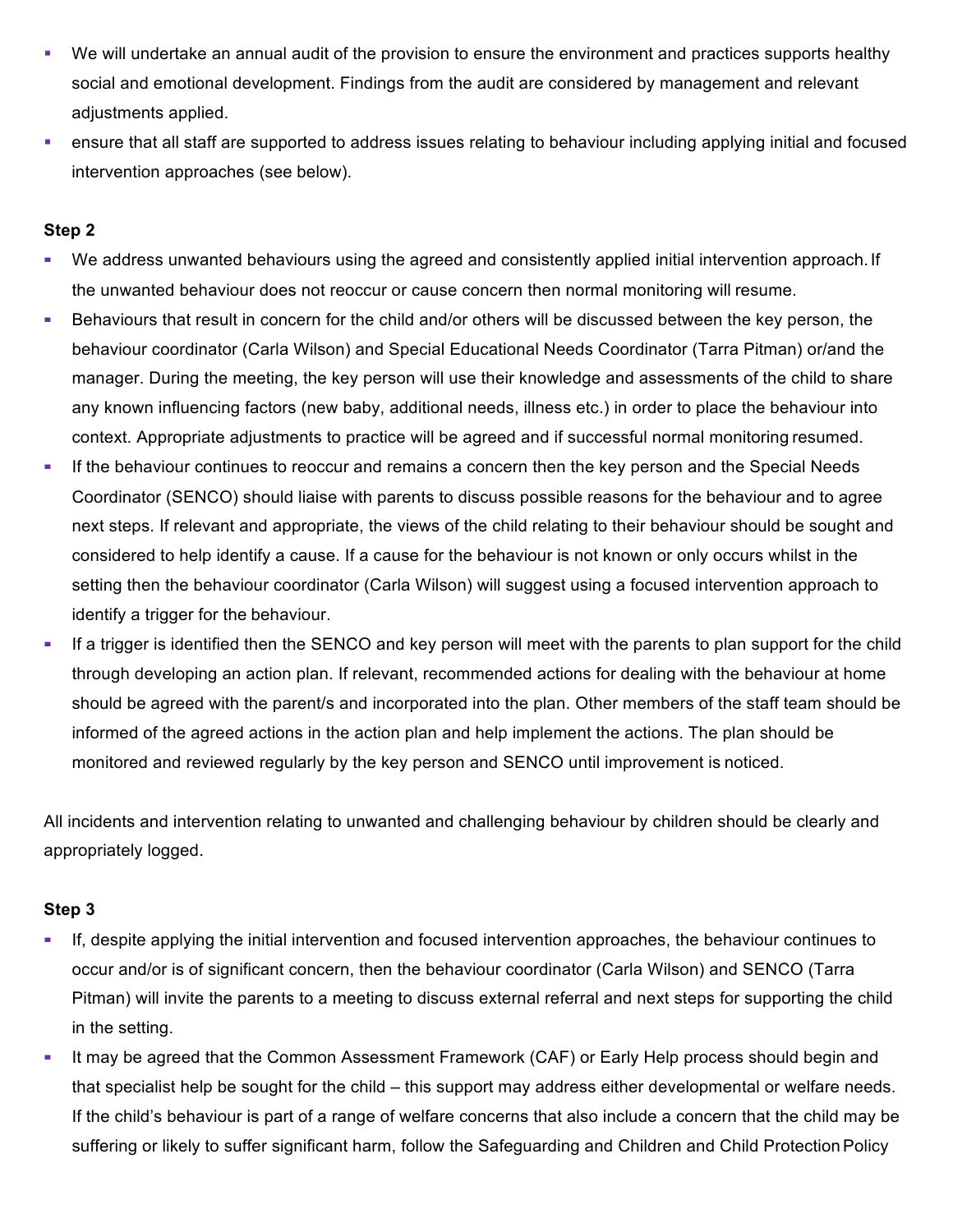- § We will undertake an annual audit of the provision to ensure the environment and practices supports healthy social and emotional development. Findings from the audit are considered by management and relevant adiustments applied.
- ensure that all staff are supported to address issues relating to behaviour including applying initial and focused intervention approaches (see below).

### **Step 2**

- **▪** We address unwanted behaviours using the agreed and consistently applied initial intervention approach.If the unwanted behaviour does not reoccur or cause concern then normal monitoring will resume.
- **▪** Behaviours that result in concern for the child and/or others will be discussed between the key person, the behaviour coordinator (Carla Wilson) and Special Educational Needs Coordinator (Tarra Pitman) or/and the manager. During the meeting, the key person will use their knowledge and assessments of the child to share any known influencing factors (new baby, additional needs, illness etc.) in order to place the behaviour into context. Appropriate adjustments to practice will be agreed and if successful normal monitoring resumed.
- **▪** If the behaviour continues to reoccur and remains a concern then the key person and the Special Needs Coordinator (SENCO) should liaise with parents to discuss possible reasons for the behaviour and to agree next steps. If relevant and appropriate, the views of the child relating to their behaviour should be sought and considered to help identify a cause. If a cause for the behaviour is not known or only occurs whilst in the setting then the behaviour coordinator (Carla Wilson) will suggest using a focused intervention approach to identify a trigger for the behaviour.
- **▪** If a trigger is identified then the SENCO and key person will meet with the parents to plan support for the child through developing an action plan. If relevant, recommended actions for dealing with the behaviour at home should be agreed with the parent/s and incorporated into the plan. Other members of the staff team should be informed of the agreed actions in the action plan and help implement the actions. The plan should be monitored and reviewed regularly by the key person and SENCO until improvement is noticed.

All incidents and intervention relating to unwanted and challenging behaviour by children should be clearly and appropriately logged.

## **Step 3**

- **▪** If, despite applying the initial intervention and focused intervention approaches, the behaviour continues to occur and/or is of significant concern, then the behaviour coordinator (Carla Wilson) and SENCO (Tarra Pitman) will invite the parents to a meeting to discuss external referral and next steps for supporting the child in the setting.
- **▪** It may be agreed that the Common Assessment Framework (CAF) or Early Help process should begin and that specialist help be sought for the child – this support may address either developmental or welfare needs. If the child's behaviour is part of a range of welfare concerns that also include a concern that the child may be suffering or likely to suffer significant harm, follow the Safeguarding and Children and Child Protection Policy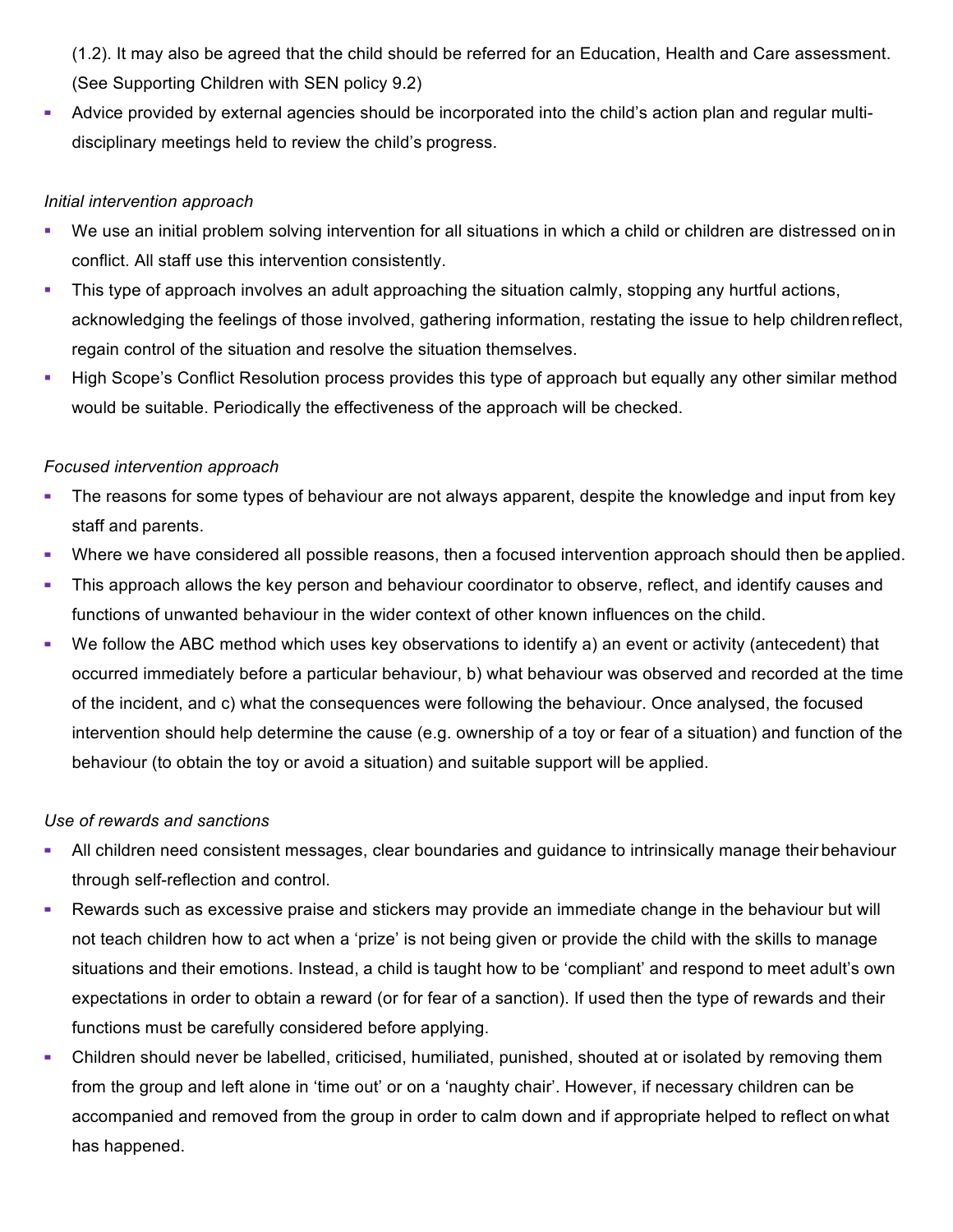(1.2). It may also be agreed that the child should be referred for an Education, Health and Care assessment. (See Supporting Children with SEN policy 9.2)

**▪** Advice provided by external agencies should be incorporated into the child's action plan and regular multidisciplinary meetings held to review the child's progress.

## *Initial intervention approach*

- We use an initial problem solving intervention for all situations in which a child or children are distressed on in conflict. All staff use this intervention consistently.
- This type of approach involves an adult approaching the situation calmly, stopping any hurtful actions, acknowledging the feelings of those involved, gathering information, restating the issue to help childrenreflect, regain control of the situation and resolve the situation themselves.
- High Scope's Conflict Resolution process provides this type of approach but equally any other similar method would be suitable. Periodically the effectiveness of the approach will be checked.

### *Focused intervention approach*

- The reasons for some types of behaviour are not always apparent, despite the knowledge and input from key staff and parents.
- **▪** Where we have considered all possible reasons, then a focused intervention approach should then be applied.
- **▪** This approach allows the key person and behaviour coordinator to observe, reflect, and identify causes and functions of unwanted behaviour in the wider context of other known influences on the child.
- **▪** We follow the ABC method which uses key observations to identify a) an event or activity (antecedent) that occurred immediately before a particular behaviour, b) what behaviour was observed and recorded at the time of the incident, and c) what the consequences were following the behaviour. Once analysed, the focused intervention should help determine the cause (e.g. ownership of a toy or fear of a situation) and function of the behaviour (to obtain the toy or avoid a situation) and suitable support will be applied.

#### *Use of rewards and sanctions*

- **▪** All children need consistent messages, clear boundaries and guidance to intrinsically manage their behaviour through self-reflection and control.
- **▪** Rewards such as excessive praise and stickers may provide an immediate change in the behaviour but will not teach children how to act when a 'prize' is not being given or provide the child with the skills to manage situations and their emotions. Instead, a child is taught how to be 'compliant' and respond to meet adult's own expectations in order to obtain a reward (or for fear of a sanction). If used then the type of rewards and their functions must be carefully considered before applying.
- **▪** Children should never be labelled, criticised, humiliated, punished, shouted at or isolated by removing them from the group and left alone in 'time out' or on a 'naughty chair'. However, if necessary children can be accompanied and removed from the group in order to calm down and if appropriate helped to reflect onwhat has happened.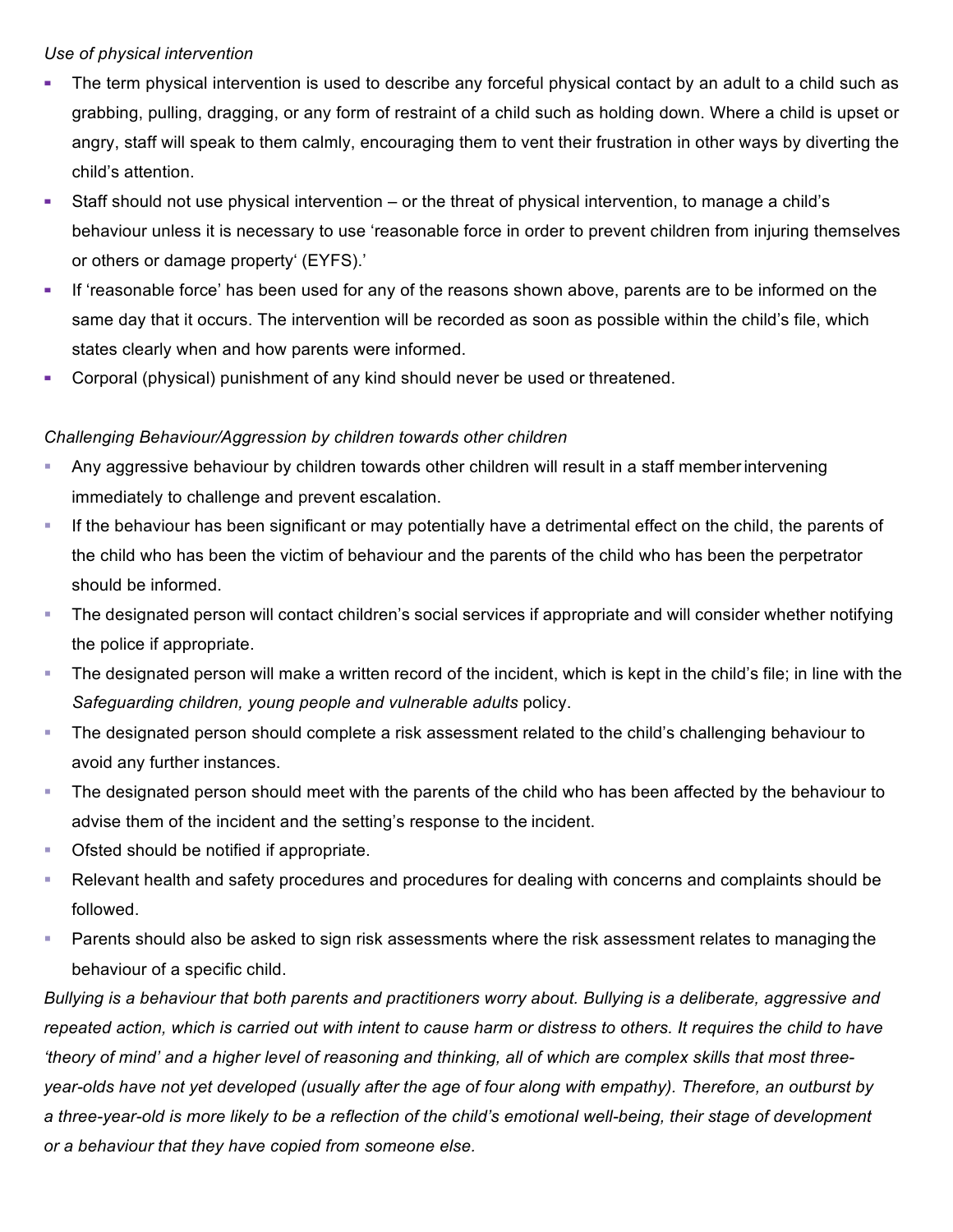#### *Use of physical intervention*

- The term physical intervention is used to describe any forceful physical contact by an adult to a child such as grabbing, pulling, dragging, or any form of restraint of a child such as holding down. Where a child is upset or angry, staff will speak to them calmly, encouraging them to vent their frustration in other ways by diverting the child's attention.
- **▪** Staff should not use physical intervention or the threat of physical intervention, to manage a child's behaviour unless it is necessary to use 'reasonable force in order to prevent children from injuring themselves or others or damage property' (EYFS).'
- **▪** If 'reasonable force' has been used for any of the reasons shown above, parents are to be informed on the same day that it occurs. The intervention will be recorded as soon as possible within the child's file, which states clearly when and how parents were informed.
- **▪** Corporal (physical) punishment of any kind should never be used or threatened.

### *Challenging Behaviour/Aggression by children towards other children*

- § Any aggressive behaviour by children towards other children will result in a staff memberintervening immediately to challenge and prevent escalation.
- § If the behaviour has been significant or may potentially have a detrimental effect on the child, the parents of the child who has been the victim of behaviour and the parents of the child who has been the perpetrator should be informed.
- § The designated person will contact children's social services if appropriate and will consider whether notifying the police if appropriate.
- § The designated person will make a written record of the incident, which is kept in the child's file; in line with the *Safeguarding children, young people and vulnerable adults* policy.
- The designated person should complete a risk assessment related to the child's challenging behaviour to avoid any further instances.
- § The designated person should meet with the parents of the child who has been affected by the behaviour to advise them of the incident and the setting's response to the incident.
- Ofsted should be notified if appropriate.
- Relevant health and safety procedures and procedures for dealing with concerns and complaints should be followed.
- § Parents should also be asked to sign risk assessments where the risk assessment relates to managing the behaviour of a specific child.

*Bullying is a behaviour that both parents and practitioners worry about. Bullying is a deliberate, aggressive and repeated action, which is carried out with intent to cause harm or distress to others. It requires the child to have 'theory of mind' and a higher level of reasoning and thinking, all of which are complex skills that most threeyear-olds have not yet developed (usually after the age of four along with empathy). Therefore, an outburst by a three-year-old is more likely to be a reflection of the child's emotional well-being, their stage of development or a behaviour that they have copied from someone else.*